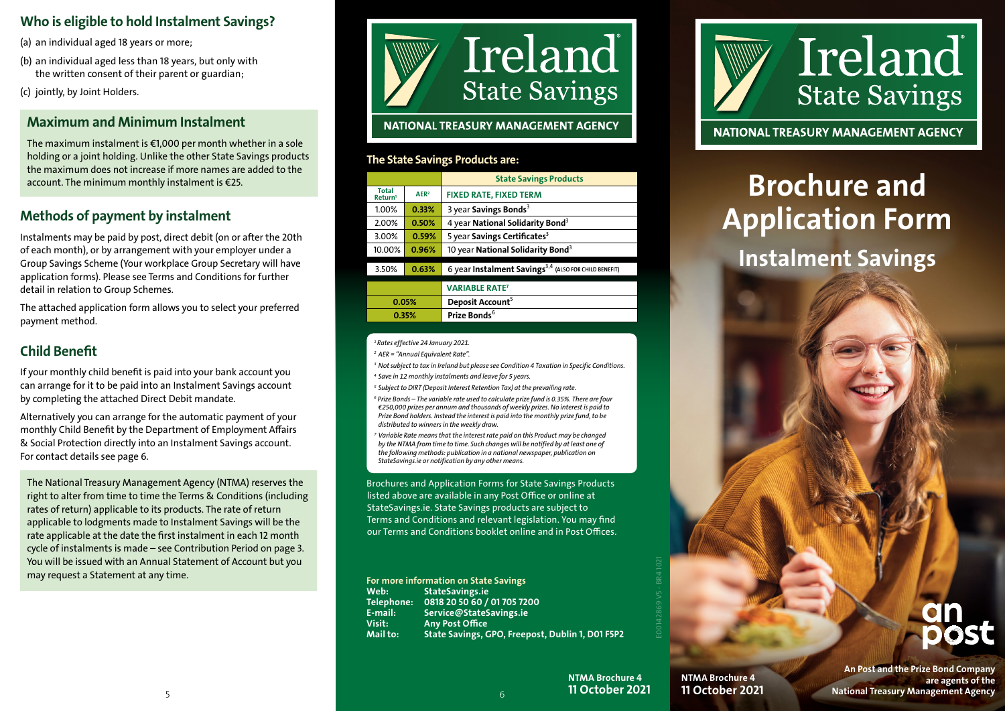# Who is eligible to hold Instalment Savings?

(a) an individual aged 18 years or more;

(b) an individual aged less than 18 years, but only with the written consent of their parent or guardian;

(c) jointly, by Joint Holders.

# Maximum and Minimum Instalment

The maximum instalment is  $\epsilon$ 1,000 per month whether in a sole holding or a joint holding. Unlike the other State Savings products the maximum does not increase if more names are added to the account. The minimum monthly instalment is €25.

# Methods of payment by instalment

Instalments may be paid by post, direct debit (on or after the 20th of each month), or by arrangement with your employer under a Group Savings Scheme (Your workplace Group Secretary will have application forms). Please see Terms and Conditions for further detail in relation to Group Schemes.

The attached application form allows you to select your preferred payment method.

# Child Benefit

If your monthly child benefit is paid into your bank account you can arrange for it to be paid into an Instalment Savings account by completing the attached Direct Debit mandate.

Alternatively you can arrange for the automatic payment of your monthly Child Benefit by the Department of Employment Affairs & Social Protection directly into an Instalment Savings account. For contact details see page 6.

The National Treasury Management Agency (NTMA) reserves the right to alter from time to time the Terms & Conditions (including rates of return) applicable to its products. The rate of return applicable to lodgments made to Instalment Savings will be the rate applicable at the date the first instalment in each 12 month cycle of instalments is made – see Contribution Period on page 3. You will be issued with an Annual Statement of Account but you may request a Statement at any time.



# The State Savings Products are:

|                                                                                                                                                                                                                                                                                                                             |                  | <b>State Savings Products</b>                                     |  |  |  |  |  |
|-----------------------------------------------------------------------------------------------------------------------------------------------------------------------------------------------------------------------------------------------------------------------------------------------------------------------------|------------------|-------------------------------------------------------------------|--|--|--|--|--|
| <b>Total</b><br>Return <sup>1</sup>                                                                                                                                                                                                                                                                                         | AER <sup>2</sup> | <b>FIXED RATE, FIXED TERM</b>                                     |  |  |  |  |  |
| 1.00%                                                                                                                                                                                                                                                                                                                       | 0.33%            | 3 year Savings Bonds <sup>3</sup>                                 |  |  |  |  |  |
| 2.00%                                                                                                                                                                                                                                                                                                                       | 0.50%            | 4 year National Solidarity Bond <sup>3</sup>                      |  |  |  |  |  |
| 3.00%                                                                                                                                                                                                                                                                                                                       | 0.59%            | 5 year Savings Certificates <sup>3</sup>                          |  |  |  |  |  |
| 10.00%                                                                                                                                                                                                                                                                                                                      | 0.96%            | 10 year National Solidarity Bond <sup>3</sup>                     |  |  |  |  |  |
| 3.50%                                                                                                                                                                                                                                                                                                                       | 0.63%            | 6 year Instalment Savings <sup>3,4</sup> (ALSO FOR CHILD BENEFIT) |  |  |  |  |  |
|                                                                                                                                                                                                                                                                                                                             |                  | <b>VARIABLE RATE<sup>7</sup></b>                                  |  |  |  |  |  |
| 0.05%                                                                                                                                                                                                                                                                                                                       |                  | Deposit Account <sup>5</sup>                                      |  |  |  |  |  |
| 0.35%                                                                                                                                                                                                                                                                                                                       |                  | Prize Bonds <sup>6</sup>                                          |  |  |  |  |  |
|                                                                                                                                                                                                                                                                                                                             |                  |                                                                   |  |  |  |  |  |
| <sup>1</sup> Rates effective 24 January 2021.                                                                                                                                                                                                                                                                               |                  |                                                                   |  |  |  |  |  |
| <sup>2</sup> AER = "Annual Equivalent Rate".                                                                                                                                                                                                                                                                                |                  |                                                                   |  |  |  |  |  |
| <sup>3</sup> Not subject to tax in Ireland but please see Condition 4 Taxation in Specific Conditions.                                                                                                                                                                                                                      |                  |                                                                   |  |  |  |  |  |
| <sup>4</sup> Save in 12 monthly instalments and leave for 5 years.                                                                                                                                                                                                                                                          |                  |                                                                   |  |  |  |  |  |
| <sup>5</sup> Subject to DIRT (Deposit Interest Retention Tax) at the prevailing rate.                                                                                                                                                                                                                                       |                  |                                                                   |  |  |  |  |  |
| <sup>6</sup> Prize Bonds - The variable rate used to calculate prize fund is 0.35%. There are four<br>€250,000 prizes per annum and thousands of weekly prizes. No interest is paid to<br>Prize Bond holders. Instead the interest is paid into the monthly prize fund, to be<br>distributed to winners in the weekly draw. |                  |                                                                   |  |  |  |  |  |
| <sup>7</sup> Variable Rate means that the interest rate paid on this Product may be changed<br>by the NTMA from time to time. Such changes will be notified by at least one of<br>the following methods: publication in a national newspaper, publication on<br>StateSavings.ie or notification by any other means.         |                  |                                                                   |  |  |  |  |  |

Brochures and Application Forms for State Savings Products listed above are available in any Post Office or online at StateSavings.ie. State Savings products are subject to Terms and Conditions and relevant legislation. You may find our Terms and Conditions booklet online and in Post Offices.

For more information on State Savings Web: StateSavings.ie Telephone: 0818 20 50 60 / 01 705 7200 E-mail: Service@StateSavings.ie Visit: Any Post Office Mail to: State Savings, GPO, Freepost, Dublin 1, D01 F5P2



NATIONAL TREASURY MANAGEMENT AGENCY

# Brochure and Application Form

# Instalment Savings

An Post and the Prize Bond Company are agents of the National Treasury Management Agency

E00142869 V5 - BR4 1021

SAFE AREA

NTMA Brochure 4

6